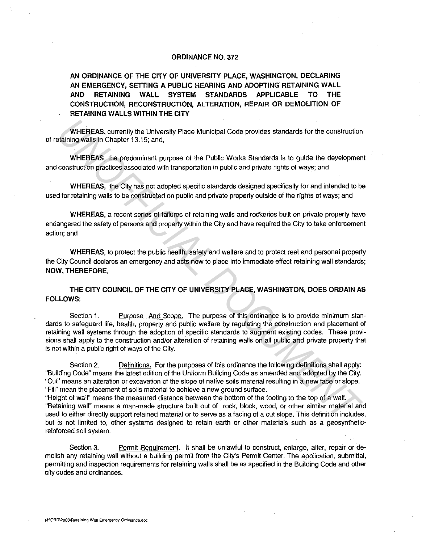## **ORDINANCE NO. 372**

**AN ORDINANCE OF THE CITY OF UNIVERSITY PLACE, WASHINGTON, DECLARING AN EMERGENCY, SETTING A PUBLIC HEARING AND ADOPTING RETAINING WALL AND RETAINING WALL SYSTEM STANDARDS APPLICABLE TO THE CONSTRUCTION, RECONSTRUCTION, ALTERATION, REPAIR OR DEMOLITION OF RETAINING WALLS WITHIN THE CITY** 

**WHEREAS,** currently the University Place Municipal Code provides standards for the construction of retaining walls in Chapter 13.15; and,

**WHEREAS,** the predominant purpose of the Public Works Standards is to guide the development and construction practices associated with transportation in public and private rights of ways; and

**WHEREAS,** the City has not adopted specific standards designed specifically for and intended to be used for retaining walls to be constructed on public and private property outside of the rights of ways; and

**WHEREAS,** a recent series of failures of retaining walls and rockeries built on private property have endangered the safety of persons and property within the City and have required the City to take enforcement action; and

**WHEREAS,** to protect the public health, safety and welfare and to protect real and personal property the City Council declares an emergency and acts now to place into immediate effect retaining wall standards; **NOW, THEREFORE,** 

**THE CITY COUNCIL OF THE CITY OF UNIVERSITY PLACE, WASHINGTON, DOES ORDAIN AS FOLLOWS:** 

Section 1. Purpose And Scope. The purpose of this ordinance is to provide minimum standards to safeguard life, health, property and public welfare by regulating the construction and placement of retaining wall systems through the adoption of specific standards to augment existing codes. These provisions shall apply to the construction and/or alteration of retaining walls on all public and private property that is not within a public right of ways of the City. WHEREAS, currently the University Place Municipal Code provides standards for the construction<br>adming walls in Chapter 13.15; and,<br>
WHEREAS, the prodominant purpose of the Public Works Standards is to guide the development

Section 2. Definitions. For the purposes of this ordinance the following definitions shall apply: "Building Code" means the latest edition of the Uniform Building Code as amended and adopted by the City. "Cuf' means an alteration or excavation of the slope of native soils material resulting in a new face or slope. "Fill" mean the placement of soils material to achieve a new ground suriace.

"Height of wall" means the measured distance between the bottom of the footing to the top of a wall. "Retaining wall" means a man-made structure built out of rock, block, wood, or other similar material and used to either directly support retained material or to serve as a facing of a cut slope. This definition includes, but is not limited to, other systems designed to retain earth or other materials such as a geosyntheticreinforced soil system.

Section 3. Permit Requirement. It shall be unlawful to construct, enlarge, alter, repair or demolish any retaining wall without a building permit from the City's Permit Center. The application, submittal, permitting and inspection requirements for retaining walls shall be as specified in the Building Code and other city codes and ordinances.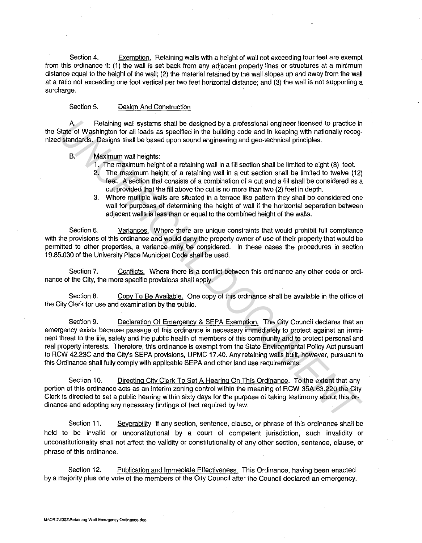Section 4. Exemption. Retaining walls with a height of wall not exceeding four feet are exempt from this ordinance if: (1) the wall is set back from any adjacent property lines or structures at a minimum distance equal to the height of the wall; (2) the material retained by the wall slopes up and away from the wall at a ratio not exceeding one foot vertical per two feet horizontal distance; and (3) the wall is not supporting a surcharge.

## Section 5. Design And Construction

A. Retaining wall systems shall be designed by a professional engineer licensed to practice in the State of Washington for all loads as specified in the building code and in keeping with nationally recognized standards. Designs shall be based upon sound engineering and geo-technical principles.

- B. Maximum wall heights:
	- 1. The maximum height of a retaining wall in a fill section shall be limited to eight (8) feet.
	- 2. The maximum height of a retaining wall in a cut section shall be limited to twelve (12) feet. A section that consists of a combination of a cut and a fill shall be considered as a cut provided that the fill above the cut is no more than two (2) feet in depth.
	- 3. Where multiple walls are situated in a terrace like pattern they shall be considered one wall for purposes of determining the height of wall if the horizontal separation between adjacent walls is less than or equal to the combined height of the walls.

Section 6. Variances. Where there are unique constraints that would prohibit full compliance with the provisions of this ordinance and would deny the property owner of use of their property that would be permitted to other properties, a variance may be considered. In these cases the procedures in section 19.85.030 of the University Place Municipal Code shall be used.

Section 7. Conflicts. Where there is a conflict between this ordinance any other code or ordi· nance of the City, the more specific provisions shall apply.

Section 8. Copy To Be Available. One copy of this ordinance shall be available in the office of the City Clerk for use and examination by the public.

Section 9. Declaration Of Emergency & SEPA Exemption. The City Council declares that an emergency exists because passage of this ordinance is necessary immediately to protect against an immi· nent threat to the life, safety and the public health of members of this community and to protect personal and real property interests. Therefore, this ordinance is exempt from the State Environmental Policy Act pursuant to RCW 42.23C and the City's SEPA provisions, UPMC 17.40. Any retaining walls built, however, pursuant to this Ordinance shall fully comply with applicable SEPA and other land use requirements. A<br> **A** Relating wall systems shall to designed by a protestional engine and the state of Washington for all closibles as specified in the building orde and in keeping with rationally recogress<br> **UNOFFICIAL SECT THE INTERFE** 

Section 10. Directing City Clerk To Set A Hearing On This Ordinance. To the extent that any portion of this ordinance acts as an interim zoning control within the meaning of RCW 35A.63.220 the City Clerk is directed to set a public hearing within sixty days for the purpose of taking testimony about this ordinance and adopting any necessary findings of fact required by law.

Section 11. Severability If any section, sentence, clause, or phrase of this ordinance shall be held to be invalid or unconstitutional by a court of competent jurisdiction, such invalidity or unconstitutionality shall not affect the validity or constitutionality of any other section, sentence, clause, or phrase of this ordinance.

Section 12. Publication and Immediate Effectiveness. This Ordinance, having been enacted by a majority plus one vote of the members of the City Council after the Council declared an emergency,